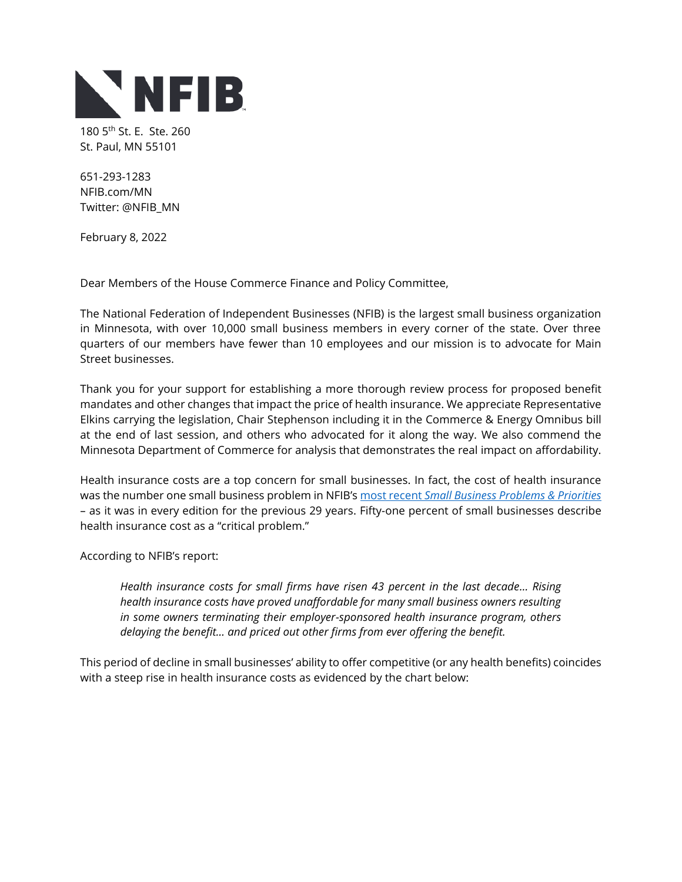

180 5<sup>th</sup> St. E. Ste. 260 St. Paul, MN 55101

651-293-1283 NFIB.com/MN Twitter: @NFIB\_MN

February 8, 2022

Dear Members of the House Commerce Finance and Policy Committee,

The National Federation of Independent Businesses (NFIB) is the largest small business organization in Minnesota, with over 10,000 small business members in every corner of the state. Over three quarters of our members have fewer than 10 employees and our mission is to advocate for Main Street businesses.

Thank you for your support for establishing a more thorough review process for proposed benefit mandates and other changes that impact the price of health insurance. We appreciate Representative Elkins carrying the legislation, Chair Stephenson including it in the Commerce & Energy Omnibus bill at the end of last session, and others who advocated for it along the way. We also commend the Minnesota Department of Commerce for analysis that demonstrates the real impact on affordability.

Health insurance costs are a top concern for small businesses. In fact, the cost of health insurance was the number one small business problem in NFIB's most recent *[Small Business Problems & Priorities](https://assets.nfib.com/nfibcom/NFIB-Problems-and-Priorities-2020.pdf)* – as it was in every edition for the previous 29 years. Fifty-one percent of small businesses describe health insurance cost as a "critical problem."

According to NFIB's report:

*Health insurance costs for small firms have risen 43 percent in the last decade… Rising health insurance costs have proved unaffordable for many small business owners resulting in some owners terminating their employer-sponsored health insurance program, others delaying the benefit… and priced out other firms from ever offering the benefit.* 

This period of decline in small businesses' ability to offer competitive (or any health benefits) coincides with a steep rise in health insurance costs as evidenced by the chart below: